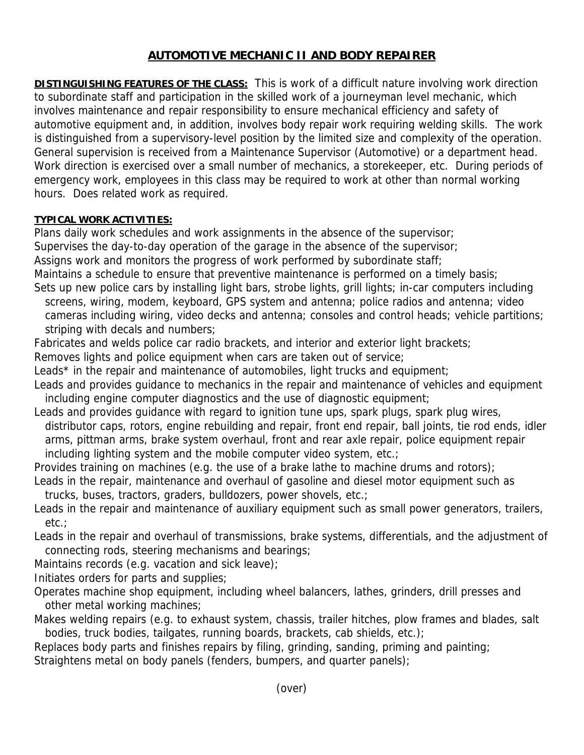## **AUTOMOTIVE MECHANIC II AND BODY REPAIRER**

**DISTINGUISHING FEATURES OF THE CLASS:** This is work of a difficult nature involving work direction to subordinate staff and participation in the skilled work of a journeyman level mechanic, which involves maintenance and repair responsibility to ensure mechanical efficiency and safety of automotive equipment and, in addition, involves body repair work requiring welding skills. The work is distinguished from a supervisory-level position by the limited size and complexity of the operation. General supervision is received from a Maintenance Supervisor (Automotive) or a department head. Work direction is exercised over a small number of mechanics, a storekeeper, etc. During periods of emergency work, employees in this class may be required to work at other than normal working hours. Does related work as required.

## **TYPICAL WORK ACTIVITIES:**

Plans daily work schedules and work assignments in the absence of the supervisor; Supervises the day-to-day operation of the garage in the absence of the supervisor; Assigns work and monitors the progress of work performed by subordinate staff; Maintains a schedule to ensure that preventive maintenance is performed on a timely basis; Sets up new police cars by installing light bars, strobe lights, grill lights; in-car computers including

- screens, wiring, modem, keyboard, GPS system and antenna; police radios and antenna; video cameras including wiring, video decks and antenna; consoles and control heads; vehicle partitions; striping with decals and numbers;
- Fabricates and welds police car radio brackets, and interior and exterior light brackets;
- Removes lights and police equipment when cars are taken out of service;
- Leads<sup>\*</sup> in the repair and maintenance of automobiles, light trucks and equipment;
- Leads and provides guidance to mechanics in the repair and maintenance of vehicles and equipment including engine computer diagnostics and the use of diagnostic equipment;
- Leads and provides guidance with regard to ignition tune ups, spark plugs, spark plug wires, distributor caps, rotors, engine rebuilding and repair, front end repair, ball joints, tie rod ends, idler arms, pittman arms, brake system overhaul, front and rear axle repair, police equipment repair including lighting system and the mobile computer video system, etc.;
- Provides training on machines (e.g. the use of a brake lathe to machine drums and rotors);
- Leads in the repair, maintenance and overhaul of gasoline and diesel motor equipment such as trucks, buses, tractors, graders, bulldozers, power shovels, etc.;
- Leads in the repair and maintenance of auxiliary equipment such as small power generators, trailers, etc.;
- Leads in the repair and overhaul of transmissions, brake systems, differentials, and the adjustment of connecting rods, steering mechanisms and bearings;
- Maintains records (e.g. vacation and sick leave);
- Initiates orders for parts and supplies;
- Operates machine shop equipment, including wheel balancers, lathes, grinders, drill presses and other metal working machines;
- Makes welding repairs (e.g. to exhaust system, chassis, trailer hitches, plow frames and blades, salt bodies, truck bodies, tailgates, running boards, brackets, cab shields, etc.);

Replaces body parts and finishes repairs by filing, grinding, sanding, priming and painting; Straightens metal on body panels (fenders, bumpers, and quarter panels);